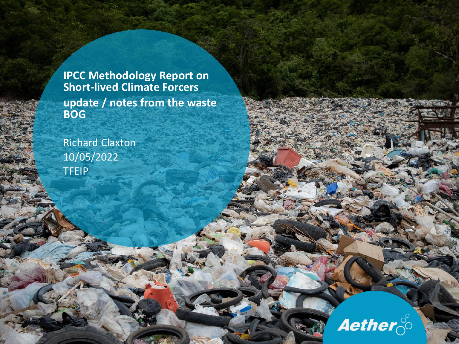**IPCC Methodology Report on Short-lived Climate Forcers update / notes from the waste BOG**

Richard Claxton 10/05/2022 TFEIP

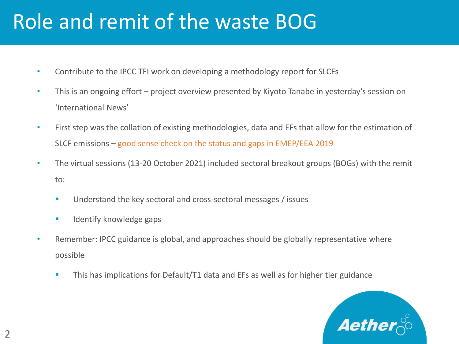# Role and remit of the waste BOG

- Contribute to the IPCC TFI work on developing a methodology report for SLCFs
- This is an ongoing effort project overview presented by Kiyoto Tanabe in yesterday's session on 'International News'
- First step was the collation of existing methodologies, data and EFs that allow for the estimation of SLCF emissions – good sense check on the status and gaps in EMEP/EEA 2019
- The virtual sessions (13-20 October 2021) included sectoral breakout groups (BOGs) with the remit to:
	- Understand the key sectoral and cross-sectoral messages / issues
	- **■** Identify knowledge gaps
- Remember: IPCC guidance is global, and approaches should be globally representative where possible
	- **This has implications for Default/T1 data and EFs as well as for higher tier guidance**

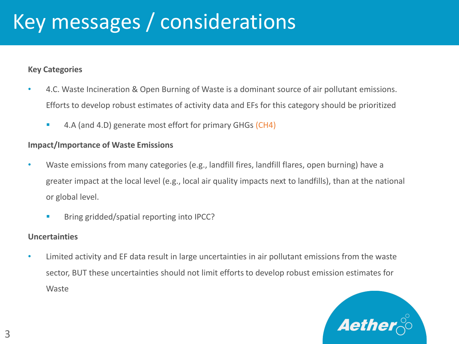# Key messages / considerations

#### **Key Categories**

- 4.C. Waste Incineration & Open Burning of Waste is a dominant source of air pollutant emissions. Efforts to develop robust estimates of activity data and EFs for this category should be prioritized
	- 4.A (and 4.D) generate most effort for primary GHGs (CH4)

#### **Impact/Importance of Waste Emissions**

- Waste emissions from many categories (e.g., landfill fires, landfill flares, open burning) have a greater impact at the local level (e.g., local air quality impacts next to landfills), than at the national or global level.
	- Bring gridded/spatial reporting into IPCC?

#### **Uncertainties**

• Limited activity and EF data result in large uncertainties in air pollutant emissions from the waste sector, BUT these uncertainties should not limit efforts to develop robust emission estimates for Waste

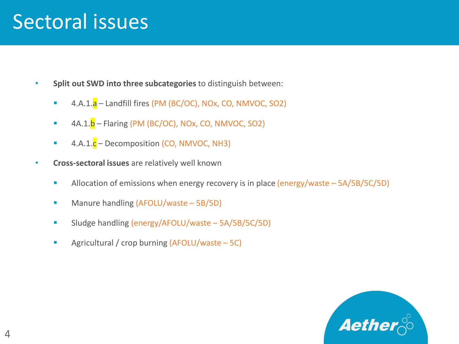## Sectoral issues

- **Split out SWD into three subcategories** to distinguish between:
	- $4.A.1.a -$  Landfill fires (PM (BC/OC), NOx, CO, NMVOC, SO2)
	- $\blacksquare$  4A.1. $\blacksquare$  Flaring (PM (BC/OC), NOx, CO, NMVOC, SO2)
	- 4.A.1.c Decomposition (CO, NMVOC, NH3)
- **Cross-sectoral issues** are relatively well known
	- **E** Allocation of emissions when energy recovery is in place (energy/waste 5A/5B/5C/5D)
	- Manure handling (AFOLU/waste 5B/5D)
	- Sludge handling (energy/AFOLU/waste 5A/5B/5C/5D)
	- Agricultural / crop burning (AFOLU/waste 5C)

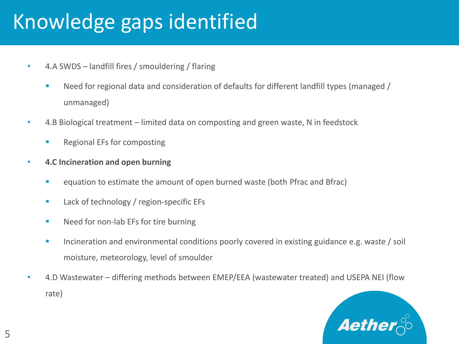# Knowledge gaps identified

- 4.A SWDS landfill fires / smouldering / flaring
	- Need for regional data and consideration of defaults for different landfill types (managed / unmanaged)
- 4.B Biological treatment limited data on composting and green waste, N in feedstock
	- Regional EFs for composting
- **4.C Incineration and open burning**
	- equation to estimate the amount of open burned waste (both Pfrac and Bfrac)
	- Lack of technology / region-specific EFs
	- Need for non-lab EFs for tire burning
	- **EXEDENT Incineration and environmental conditions poorly covered in existing guidance e.g. waste / soil** moisture, meteorology, level of smoulder
- 4.D Wastewater differing methods between EMEP/EEA (wastewater treated) and USEPA NEI (flow rate)

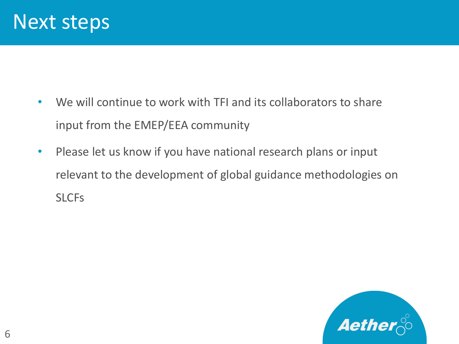

- We will continue to work with TFI and its collaborators to share input from the EMEP/EEA community
- Please let us know if you have national research plans or input relevant to the development of global guidance methodologies on **SLCFs**

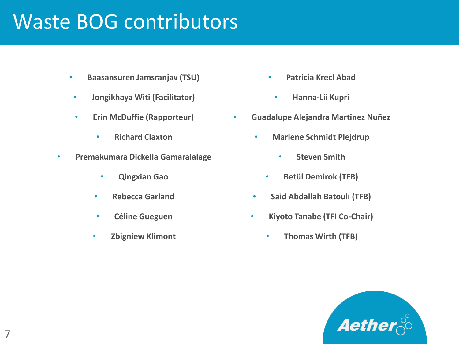## Waste BOG contributors

- **Baasansuren Jamsranjav (TSU)**
- **Jongikhaya Witi (Facilitator)**
- **Erin McDuffie (Rapporteur)**
	- **Richard Claxton**
- **Premakumara Dickella Gamaralalage**
	- **Qingxian Gao**
	- **Rebecca Garland**
	- **Céline Gueguen**
	- **Zbigniew Klimont**
- **Patricia Krecl Abad**
	- **Hanna-Lii Kupri**
- **Guadalupe Alejandra Martinez Nuñez**
	- **Marlene Schmidt Plejdrup**
		- **Steven Smith**
		- **Betül Demirok (TFB)**
	- **Said Abdallah Batouli (TFB)**
	- **Kiyoto Tanabe (TFI Co-Chair)**
		- **Thomas Wirth (TFB)**